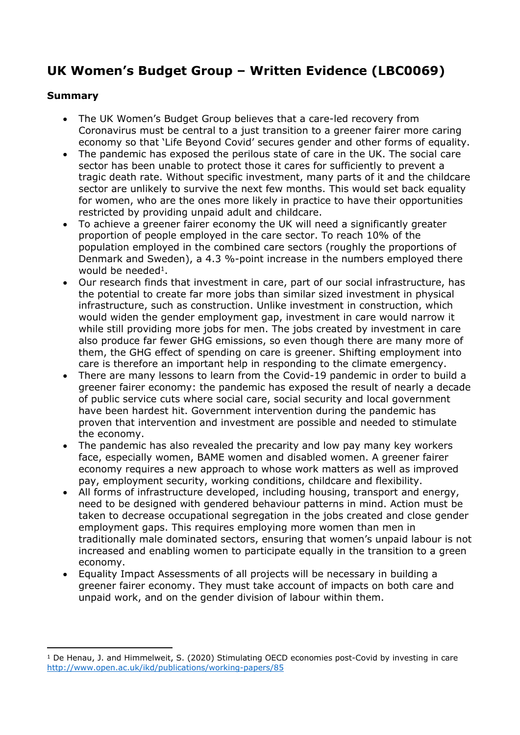# **UK Women's Budget Group – Written Evidence (LBC0069)**

## **Summary**

- The UK Women's Budget Group believes that a care-led recovery from Coronavirus must be central to a just transition to a greener fairer more caring economy so that 'Life Beyond Covid' secures gender and other forms of equality.
- The pandemic has exposed the perilous state of care in the UK. The social care sector has been unable to protect those it cares for sufficiently to prevent a tragic death rate. Without specific investment, many parts of it and the childcare sector are unlikely to survive the next few months. This would set back equality for women, who are the ones more likely in practice to have their opportunities restricted by providing unpaid adult and childcare.
- To achieve a greener fairer economy the UK will need a significantly greater proportion of people employed in the care sector. To reach 10% of the population employed in the combined care sectors (roughly the proportions of Denmark and Sweden), a 4.3 %-point increase in the numbers employed there would be needed<sup>1</sup>.
- Our research finds that investment in care, part of our social infrastructure, has the potential to create far more jobs than similar sized investment in physical infrastructure, such as construction. Unlike investment in construction, which would widen the gender employment gap, investment in care would narrow it while still providing more jobs for men. The jobs created by investment in care also produce far fewer GHG emissions, so even though there are many more of them, the GHG effect of spending on care is greener. Shifting employment into care is therefore an important help in responding to the climate emergency.
- There are many lessons to learn from the Covid-19 pandemic in order to build a greener fairer economy: the pandemic has exposed the result of nearly a decade of public service cuts where social care, social security and local government have been hardest hit. Government intervention during the pandemic has proven that intervention and investment are possible and needed to stimulate the economy.
- The pandemic has also revealed the precarity and low pay many key workers face, especially women, BAME women and disabled women. A greener fairer economy requires a new approach to whose work matters as well as improved pay, employment security, working conditions, childcare and flexibility.
- All forms of infrastructure developed, including housing, transport and energy, need to be designed with gendered behaviour patterns in mind. Action must be taken to decrease occupational segregation in the jobs created and close gender employment gaps. This requires employing more women than men in traditionally male dominated sectors, ensuring that women's unpaid labour is not increased and enabling women to participate equally in the transition to a green economy.
- Equality Impact Assessments of all projects will be necessary in building a greener fairer economy. They must take account of impacts on both care and unpaid work, and on the gender division of labour within them.

<sup>&</sup>lt;sup>1</sup> De Henau, J. and Himmelweit, S. (2020) Stimulating OECD economies post-Covid by investing in care <http://www.open.ac.uk/ikd/publications/working-papers/85>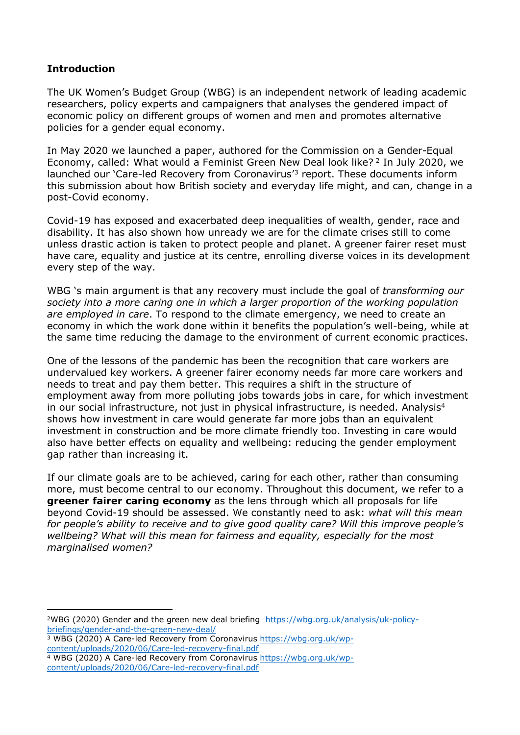## **Introduction**

The UK Women's Budget Group (WBG) is an independent network of leading academic researchers, policy experts and campaigners that analyses the gendered impact of economic policy on different groups of women and men and promotes alternative policies for a gender equal economy.

In May 2020 we launched a paper, authored for the Commission on a Gender-Equal Economy, called: What would a Feminist Green New Deal look like? <sup>2</sup> In July 2020, we launched our 'Care-led Recovery from Coronavirus'<sup>3</sup> report. These documents inform this submission about how British society and everyday life might, and can, change in a post-Covid economy.

Covid-19 has exposed and exacerbated deep inequalities of wealth, gender, race and disability. It has also shown how unready we are for the climate crises still to come unless drastic action is taken to protect people and planet. A greener fairer reset must have care, equality and justice at its centre, enrolling diverse voices in its development every step of the way.

WBG 's main argument is that any recovery must include the goal of *transforming our society into a more caring one in which a larger proportion of the working population are employed in care*. To respond to the climate emergency, we need to create an economy in which the work done within it benefits the population's well-being, while at the same time reducing the damage to the environment of current economic practices.

One of the lessons of the pandemic has been the recognition that care workers are undervalued key workers. A greener fairer economy needs far more care workers and needs to treat and pay them better. This requires a shift in the structure of employment away from more polluting jobs towards jobs in care, for which investment in our social infrastructure, not just in physical infrastructure, is needed. Analysis<sup>4</sup> shows how investment in care would generate far more jobs than an equivalent investment in construction and be more climate friendly too. Investing in care would also have better effects on equality and wellbeing: reducing the gender employment gap rather than increasing it.

If our climate goals are to be achieved, caring for each other, rather than consuming more, must become central to our economy. Throughout this document, we refer to a **greener fairer caring economy** as the lens through which all proposals for life beyond Covid-19 should be assessed. We constantly need to ask: *what will this mean for people's ability to receive and to give good quality care? Will this improve people's wellbeing? What will this mean for fairness and equality, especially for the most marginalised women?*

<sup>2</sup>WBG (2020) Gender and the green new deal briefing [https://wbg.org.uk/analysis/uk-policy](https://wbg.org.uk/analysis/uk-policy-briefings/gender-and-the-green-new-deal/)[briefings/gender-and-the-green-new-deal/](https://wbg.org.uk/analysis/uk-policy-briefings/gender-and-the-green-new-deal/)

<sup>3</sup> WBG (2020) A Care-led Recovery from Coronavirus [https://wbg.org.uk/wp](https://wbg.org.uk/wp-content/uploads/2020/06/Care-led-recovery-final.pdf)[content/uploads/2020/06/Care-led-recovery-final.pdf](https://wbg.org.uk/wp-content/uploads/2020/06/Care-led-recovery-final.pdf)

<sup>4</sup> WBG (2020) A Care-led Recovery from Coronavirus [https://wbg.org.uk/wp](https://wbg.org.uk/wp-content/uploads/2020/06/Care-led-recovery-final.pdf)[content/uploads/2020/06/Care-led-recovery-final.pdf](https://wbg.org.uk/wp-content/uploads/2020/06/Care-led-recovery-final.pdf)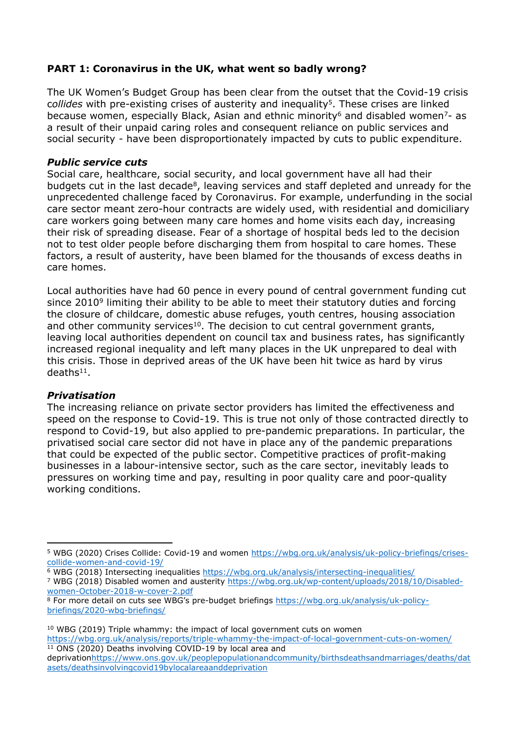# **PART 1: Coronavirus in the UK, what went so badly wrong?**

The UK Women's Budget Group has been clear from the outset that the Covid-19 crisis c*ollides* with pre-existing crises of austerity and inequality<sup>5</sup>. These crises are linked because women, especially Black, Asian and ethnic minority<sup>6</sup> and disabled women<sup>7</sup>- as a result of their unpaid caring roles and consequent reliance on public services and social security - have been disproportionately impacted by cuts to public expenditure.

## *Public service cuts*

Social care, healthcare, social security, and local government have all had their budgets cut in the last decade<sup>8</sup>, leaving services and staff depleted and unready for the unprecedented challenge faced by Coronavirus. For example, underfunding in the social care sector meant zero-hour contracts are widely used, with residential and domiciliary care workers going between many care homes and home visits each day, increasing their risk of spreading disease. Fear of a shortage of hospital beds led to the decision not to test older people before discharging them from hospital to care homes. These factors, a result of austerity, have been blamed for the thousands of excess deaths in care homes.

Local authorities have had 60 pence in every pound of central government funding cut since 2010<sup>9</sup> limiting their ability to be able to meet their statutory duties and forcing the closure of childcare, domestic abuse refuges, youth centres, housing association and other community services<sup>10</sup>. The decision to cut central government grants, leaving local authorities dependent on council tax and business rates, has significantly increased regional inequality and left many places in the UK unprepared to deal with this crisis. Those in deprived areas of the UK have been hit twice as hard by virus  $deaths<sup>11</sup>$ .

# *Privatisation*

The increasing reliance on private sector providers has limited the effectiveness and speed on the response to Covid-19. This is true not only of those contracted directly to respond to Covid-19, but also applied to pre-pandemic preparations. In particular, the privatised social care sector did not have in place any of the pandemic preparations that could be expected of the public sector. Competitive practices of profit-making businesses in a labour-intensive sector, such as the care sector, inevitably leads to pressures on working time and pay, resulting in poor quality care and poor-quality working conditions.

<sup>5</sup> WBG (2020) Crises Collide: Covid-19 and women [https://wbg.org.uk/analysis/uk-policy-briefings/crises](https://wbg.org.uk/analysis/uk-policy-briefings/crises-collide-women-and-covid-19/)[collide-women-and-covid-19/](https://wbg.org.uk/analysis/uk-policy-briefings/crises-collide-women-and-covid-19/)

<sup>&</sup>lt;sup>6</sup> WBG (2018) Intersecting inequalities <https://wbg.org.uk/analysis/intersecting-inequalities/>

<sup>7</sup> WBG (2018) Disabled women and austerity [https://wbg.org.uk/wp-content/uploads/2018/10/Disabled](https://wbg.org.uk/wp-content/uploads/2018/10/Disabled-women-October-2018-w-cover-2.pdf)[women-October-2018-w-cover-2.pdf](https://wbg.org.uk/wp-content/uploads/2018/10/Disabled-women-October-2018-w-cover-2.pdf)

<sup>8</sup> For more detail on cuts see WBG's pre-budget briefings [https://wbg.org.uk/analysis/uk-policy](https://wbg.org.uk/analysis/uk-policy-briefings/2020-wbg-briefings/)[briefings/2020-wbg-briefings/](https://wbg.org.uk/analysis/uk-policy-briefings/2020-wbg-briefings/)

<sup>10</sup> WBG (2019) Triple whammy: the impact of local government cuts on women <https://wbg.org.uk/analysis/reports/triple-whammy-the-impact-of-local-government-cuts-on-women/> <sup>11</sup> ONS (2020) Deaths involving COVID-19 by local area and

deprivation[https://www.ons.gov.uk/peoplepopulationandcommunity/birthsdeathsandmarriages/deaths/dat](https://www.ons.gov.uk/peoplepopulationandcommunity/birthsdeathsandmarriages/deaths/datasets/deathsinvolvingcovid19bylocalareaanddeprivation) [asets/deathsinvolvingcovid19bylocalareaanddeprivation](https://www.ons.gov.uk/peoplepopulationandcommunity/birthsdeathsandmarriages/deaths/datasets/deathsinvolvingcovid19bylocalareaanddeprivation)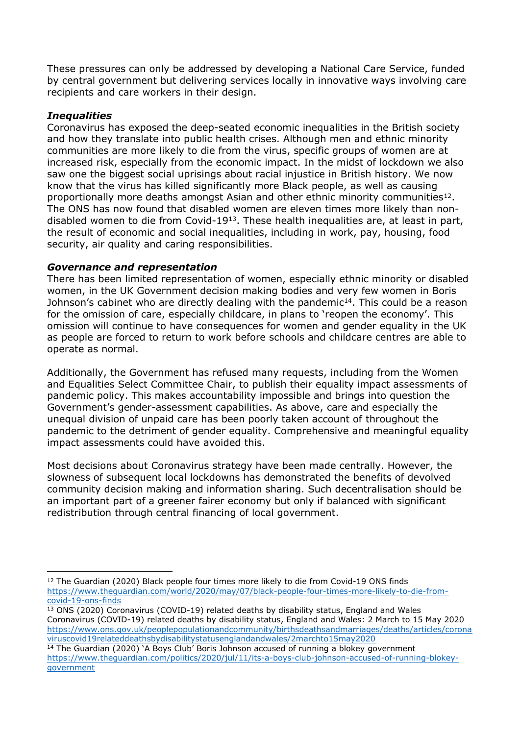These pressures can only be addressed by developing a National Care Service, funded by central government but delivering services locally in innovative ways involving care recipients and care workers in their design.

## *Inequalities*

Coronavirus has exposed the deep-seated economic inequalities in the British society and how they translate into public health crises. Although men and ethnic minority communities are more likely to die from the virus, specific groups of women are at increased risk, especially from the economic impact. In the midst of lockdown we also saw one the biggest social uprisings about racial injustice in British history. We now know that the virus has killed significantly more Black people, as well as causing proportionally more deaths amongst Asian and other ethnic minority communities<sup>12</sup>. The ONS has now found that disabled women are eleven times more likely than nondisabled women to die from Covid-19<sup>13</sup>. These health inequalities are, at least in part, the result of economic and social inequalities, including in work, pay, housing, food security, air quality and caring responsibilities.

#### *Governance and representation*

There has been limited representation of women, especially ethnic minority or disabled women, in the UK Government decision making bodies and very few women in Boris Johnson's cabinet who are directly dealing with the pandemic<sup>14</sup>. This could be a reason for the omission of care, especially childcare, in plans to 'reopen the economy'. This omission will continue to have consequences for women and gender equality in the UK as people are forced to return to work before schools and childcare centres are able to operate as normal.

Additionally, the Government has refused many requests, including from the Women and Equalities Select Committee Chair, to publish their equality impact assessments of pandemic policy. This makes accountability impossible and brings into question the Government's gender-assessment capabilities. As above, care and especially the unequal division of unpaid care has been poorly taken account of throughout the pandemic to the detriment of gender equality. Comprehensive and meaningful equality impact assessments could have avoided this.

Most decisions about Coronavirus strategy have been made centrally. However, the slowness of subsequent local lockdowns has demonstrated the benefits of devolved community decision making and information sharing. Such decentralisation should be an important part of a greener fairer economy but only if balanced with significant redistribution through central financing of local government.

<sup>12</sup> The Guardian (2020) Black people four times more likely to die from Covid-19 ONS finds [https://www.theguardian.com/world/2020/may/07/black-people-four-times-more-likely-to-die-from](https://www.theguardian.com/world/2020/may/07/black-people-four-times-more-likely-to-die-from-covid-19-ons-finds)[covid-19-ons-finds](https://www.theguardian.com/world/2020/may/07/black-people-four-times-more-likely-to-die-from-covid-19-ons-finds)

<sup>13</sup> ONS (2020) Coronavirus (COVID-19) related deaths by disability status, England and Wales Coronavirus (COVID-19) related deaths by disability status, England and Wales: 2 March to 15 May 2020 [https://www.ons.gov.uk/peoplepopulationandcommunity/birthsdeathsandmarriages/deaths/articles/corona](https://www.ons.gov.uk/peoplepopulationandcommunity/birthsdeathsandmarriages/deaths/articles/coronaviruscovid19relateddeathsbydisabilitystatusenglandandwales/2marchto15may2020) [viruscovid19relateddeathsbydisabilitystatusenglandandwales/2marchto15may2020](https://www.ons.gov.uk/peoplepopulationandcommunity/birthsdeathsandmarriages/deaths/articles/coronaviruscovid19relateddeathsbydisabilitystatusenglandandwales/2marchto15may2020)

<sup>&</sup>lt;sup>14</sup> The Guardian (2020) 'A Boys Club' Boris Johnson accused of running a blokey government [https://www.theguardian.com/politics/2020/jul/11/its-a-boys-club-johnson-accused-of-running-blokey](https://www.theguardian.com/politics/2020/jul/11/its-a-boys-club-johnson-accused-of-running-blokey-government)[government](https://www.theguardian.com/politics/2020/jul/11/its-a-boys-club-johnson-accused-of-running-blokey-government)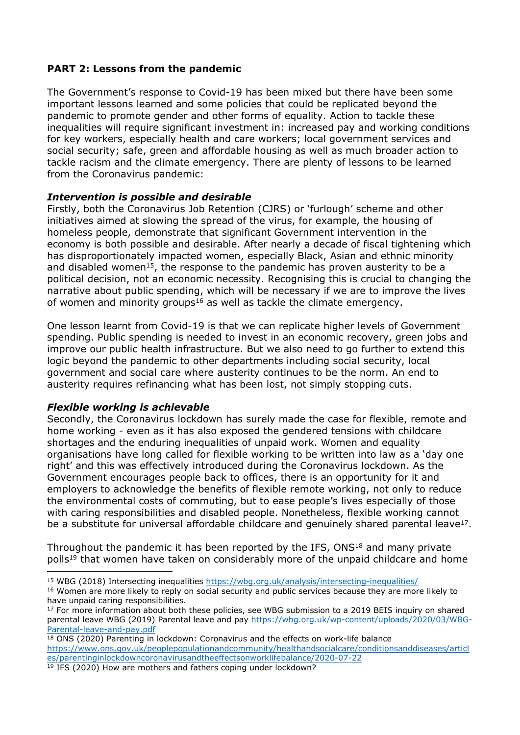## **PART 2: Lessons from the pandemic**

The Government's response to Covid-19 has been mixed but there have been some important lessons learned and some policies that could be replicated beyond the pandemic to promote gender and other forms of equality. Action to tackle these inequalities will require significant investment in: increased pay and working conditions for key workers, especially health and care workers; local government services and social security; safe, green and affordable housing as well as much broader action to tackle racism and the climate emergency. There are plenty of lessons to be learned from the Coronavirus pandemic:

#### *Intervention is possible and desirable*

Firstly, both the Coronavirus Job Retention (CJRS) or 'furlough' scheme and other initiatives aimed at slowing the spread of the virus, for example, the housing of homeless people, demonstrate that significant Government intervention in the economy is both possible and desirable. After nearly a decade of fiscal tightening which has disproportionately impacted women, especially Black, Asian and ethnic minority and disabled women<sup>15</sup>, the response to the pandemic has proven austerity to be a political decision, not an economic necessity. Recognising this is crucial to changing the narrative about public spending, which will be necessary if we are to improve the lives of women and minority groups<sup>16</sup> as well as tackle the climate emergency.

One lesson learnt from Covid-19 is that we can replicate higher levels of Government spending. Public spending is needed to invest in an economic recovery, green jobs and improve our public health infrastructure. But we also need to go further to extend this logic beyond the pandemic to other departments including social security, local government and social care where austerity continues to be the norm. An end to austerity requires refinancing what has been lost, not simply stopping cuts.

# *Flexible working is achievable*

Secondly, the Coronavirus lockdown has surely made the case for flexible, remote and home working - even as it has also exposed the gendered tensions with childcare shortages and the enduring inequalities of unpaid work. Women and equality organisations have long called for flexible working to be written into law as a 'day one right' and this was effectively introduced during the Coronavirus lockdown. As the Government encourages people back to offices, there is an opportunity for it and employers to acknowledge the benefits of flexible remote working, not only to reduce the environmental costs of commuting, but to ease people's lives especially of those with caring responsibilities and disabled people. Nonetheless, flexible working cannot be a substitute for universal affordable childcare and genuinely shared parental leave<sup>17</sup>.

Throughout the pandemic it has been reported by the IFS, ONS<sup>18</sup> and many private polls<sup>19</sup> that women have taken on considerably more of the unpaid childcare and home

<sup>15</sup> WBG (2018) Intersecting inequalities <https://wbg.org.uk/analysis/intersecting-inequalities/>

<sup>&</sup>lt;sup>16</sup> Women are more likely to reply on social security and public services because they are more likely to have unpaid caring responsibilities.

<sup>&</sup>lt;sup>17</sup> For more information about both these policies, see WBG submission to a 2019 BEIS inquiry on shared parental leave WBG (2019) Parental leave and pay [https://wbg.org.uk/wp-content/uploads/2020/03/WBG-](https://wbg.org.uk/wp-content/uploads/2020/03/WBG-Parental-leave-and-pay.pdf)[Parental-leave-and-pay.pdf](https://wbg.org.uk/wp-content/uploads/2020/03/WBG-Parental-leave-and-pay.pdf)

<sup>&</sup>lt;sup>18</sup> ONS (2020) Parenting in lockdown: Coronavirus and the effects on work-life balance [https://www.ons.gov.uk/peoplepopulationandcommunity/healthandsocialcare/conditionsanddiseases/articl](https://www.ons.gov.uk/peoplepopulationandcommunity/healthandsocialcare/conditionsanddiseases/articles/parentinginlockdowncoronavirusandtheeffectsonworklifebalance/2020-07-22) [es/parentinginlockdowncoronavirusandtheeffectsonworklifebalance/2020-07-22](https://www.ons.gov.uk/peoplepopulationandcommunity/healthandsocialcare/conditionsanddiseases/articles/parentinginlockdowncoronavirusandtheeffectsonworklifebalance/2020-07-22)  $19$  IFS (2020) How are mothers and fathers coping under lockdown?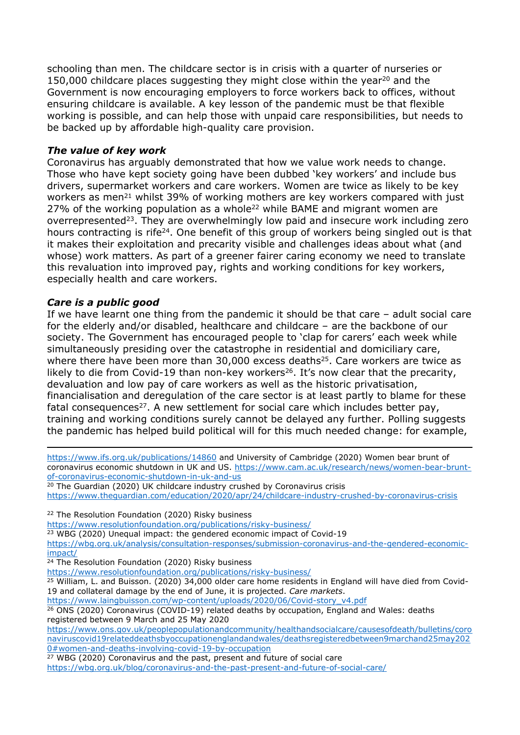schooling than men. The childcare sector is in crisis with a quarter of nurseries or 150,000 childcare places suggesting they might close within the year<sup>20</sup> and the Government is now encouraging employers to force workers back to offices, without ensuring childcare is available. A key lesson of the pandemic must be that flexible working is possible, and can help those with unpaid care responsibilities, but needs to be backed up by affordable high-quality care provision.

## *The value of key work*

Coronavirus has arguably demonstrated that how we value work needs to change. Those who have kept society going have been dubbed 'key workers' and include bus drivers, supermarket workers and care workers. Women are twice as likely to be key workers as men<sup>21</sup> whilst 39% of working mothers are key workers compared with just 27% of the working population as a whole<sup>22</sup> while BAME and migrant women are overrepresented<sup>23</sup>. They are overwhelmingly low paid and insecure work including zero hours contracting is rife<sup>24</sup>. One benefit of this group of workers being singled out is that it makes their exploitation and precarity visible and challenges ideas about what (and whose) work matters. As part of a greener fairer caring economy we need to translate this revaluation into improved pay, rights and working conditions for key workers, especially health and care workers.

#### *Care is a public good*

If we have learnt one thing from the pandemic it should be that care – adult social care for the elderly and/or disabled, healthcare and childcare – are the backbone of our society. The Government has encouraged people to 'clap for carers' each week while simultaneously presiding over the catastrophe in residential and domiciliary care, where there have been more than 30,000 excess deaths<sup>25</sup>. Care workers are twice as likely to die from Covid-19 than non-key workers<sup>26</sup>. It's now clear that the precarity, devaluation and low pay of care workers as well as the historic privatisation, financialisation and deregulation of the care sector is at least partly to blame for these fatal consequences<sup>27</sup>. A new settlement for social care which includes better pay, training and working conditions surely cannot be delayed any further. Polling suggests the pandemic has helped build political will for this much needed change: for example,

<https://www.ifs.org.uk/publications/14860> and University of Cambridge (2020) Women bear brunt of coronavirus economic shutdown in UK and US. [https://www.cam.ac.uk/research/news/women-bear-brunt](https://www.cam.ac.uk/research/news/women-bear-brunt-of-coronavirus-economic-shutdown-in-uk-and-us)[of-coronavirus-economic-shutdown-in-uk-and-us](https://www.cam.ac.uk/research/news/women-bear-brunt-of-coronavirus-economic-shutdown-in-uk-and-us)

<sup>20</sup> The Guardian (2020) UK childcare industry crushed by Coronavirus crisis <https://www.theguardian.com/education/2020/apr/24/childcare-industry-crushed-by-coronavirus-crisis>

<sup>22</sup> The Resolution Foundation (2020) Risky business

<https://www.resolutionfoundation.org/publications/risky-business/>

<sup>23</sup> WBG (2020) Unequal impact: the gendered economic impact of Covid-19

[https://wbg.org.uk/analysis/consultation-responses/submission-coronavirus-and-the-gendered-economic](https://wbg.org.uk/analysis/consultation-responses/submission-coronavirus-and-the-gendered-economic-impact/)[impact/](https://wbg.org.uk/analysis/consultation-responses/submission-coronavirus-and-the-gendered-economic-impact/)

<sup>24</sup> The Resolution Foundation (2020) Risky business

<https://www.resolutionfoundation.org/publications/risky-business/>

<sup>25</sup> William, L. and Buisson. (2020) 34,000 older care home residents in England will have died from Covid-19 and collateral damage by the end of June, it is projected. *Care markets*.

[https://www.laingbuisson.com/wp-content/uploads/2020/06/Covid-story\\_v4.pdf](https://www.laingbuisson.com/wp-content/uploads/2020/06/Covid-story_v4.pdf)

<sup>26</sup> ONS (2020) Coronavirus (COVID-19) related deaths by occupation, England and Wales: deaths registered between 9 March and 25 May 2020

[https://www.ons.gov.uk/peoplepopulationandcommunity/healthandsocialcare/causesofdeath/bulletins/coro](https://www.ons.gov.uk/peoplepopulationandcommunity/healthandsocialcare/causesofdeath/bulletins/coronaviruscovid19relateddeathsbyoccupationenglandandwales/deathsregisteredbetween9marchand25may2020#women-and-deaths-involving-covid-19-by-occupation) [naviruscovid19relateddeathsbyoccupationenglandandwales/deathsregisteredbetween9marchand25may202](https://www.ons.gov.uk/peoplepopulationandcommunity/healthandsocialcare/causesofdeath/bulletins/coronaviruscovid19relateddeathsbyoccupationenglandandwales/deathsregisteredbetween9marchand25may2020#women-and-deaths-involving-covid-19-by-occupation) [0#women-and-deaths-involving-covid-19-by-occupation](https://www.ons.gov.uk/peoplepopulationandcommunity/healthandsocialcare/causesofdeath/bulletins/coronaviruscovid19relateddeathsbyoccupationenglandandwales/deathsregisteredbetween9marchand25may2020#women-and-deaths-involving-covid-19-by-occupation)

<sup>27</sup> WBG (2020) Coronavirus and the past, present and future of social care <https://wbg.org.uk/blog/coronavirus-and-the-past-present-and-future-of-social-care/>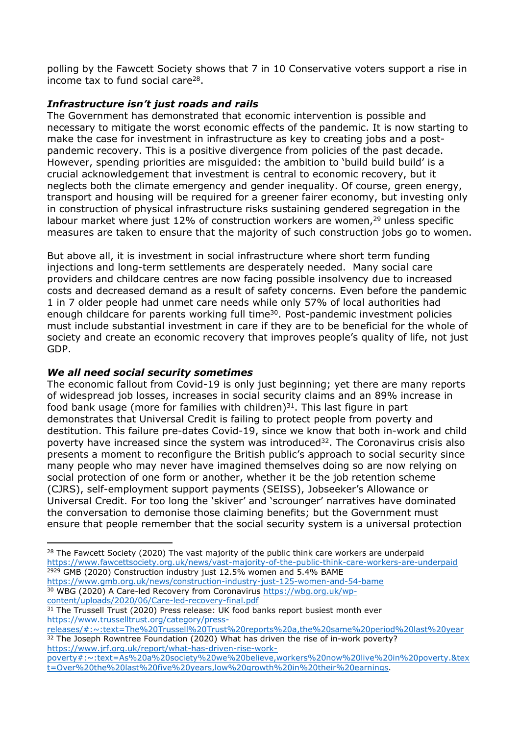polling by the Fawcett Society shows that 7 in 10 Conservative voters support a rise in income tax to fund social care<sup>28</sup>.

## *Infrastructure isn't just roads and rails*

The Government has demonstrated that economic intervention is possible and necessary to mitigate the worst economic effects of the pandemic. It is now starting to make the case for investment in infrastructure as key to creating jobs and a postpandemic recovery. This is a positive divergence from policies of the past decade. However, spending priorities are misquided: the ambition to 'build build build' is a crucial acknowledgement that investment is central to economic recovery, but it neglects both the climate emergency and gender inequality. Of course, green energy, transport and housing will be required for a greener fairer economy, but investing only in construction of physical infrastructure risks sustaining gendered segregation in the labour market where just 12% of construction workers are women,<sup>29</sup> unless specific measures are taken to ensure that the majority of such construction jobs go to women.

But above all, it is investment in social infrastructure where short term funding injections and long-term settlements are desperately needed. Many social care providers and childcare centres are now facing possible insolvency due to increased costs and decreased demand as a result of safety concerns. Even before the pandemic 1 in 7 older people had unmet care needs while only 57% of local authorities had enough childcare for parents working full time<sup>30</sup>. Post-pandemic investment policies must include substantial investment in care if they are to be beneficial for the whole of society and create an economic recovery that improves people's quality of life, not just GDP.

#### *We all need social security sometimes*

The economic fallout from Covid-19 is only just beginning; yet there are many reports of widespread job losses, increases in social security claims and an 89% increase in food bank usage (more for families with children) $31$ . This last figure in part demonstrates that Universal Credit is failing to protect people from poverty and destitution. This failure pre-dates Covid-19, since we know that both in-work and child poverty have increased since the system was introduced<sup>32</sup>. The Coronavirus crisis also presents a moment to reconfigure the British public's approach to social security since many people who may never have imagined themselves doing so are now relying on social protection of one form or another, whether it be the job retention scheme (CJRS), self-employment support payments (SEISS), Jobseeker's Allowance or Universal Credit. For too long the 'skiver' and 'scrounger' narratives have dominated the conversation to demonise those claiming benefits; but the Government must ensure that people remember that the social security system is a universal protection

<sup>&</sup>lt;sup>28</sup> The Fawcett Society (2020) The vast majority of the public think care workers are underpaid <https://www.fawcettsociety.org.uk/news/vast-majority-of-the-public-think-care-workers-are-underpaid> <sup>2929</sup> GMB (2020) Construction industry just 12.5% women and 5.4% BAME

<https://www.gmb.org.uk/news/construction-industry-just-125-women-and-54-bame> <sup>30</sup> WBG (2020) A Care-led Recovery from Coronavirus [https://wbg.org.uk/wp](https://wbg.org.uk/wp-content/uploads/2020/06/Care-led-recovery-final.pdf)[content/uploads/2020/06/Care-led-recovery-final.pdf](https://wbg.org.uk/wp-content/uploads/2020/06/Care-led-recovery-final.pdf)

<sup>31</sup> The Trussell Trust (2020) Press release: UK food banks report busiest month ever [https://www.trusselltrust.org/category/press-](https://www.trusselltrust.org/category/press-releases/#:~:text=The%20Trussell%20Trust%20reports%20a,the%20same%20period%20last%20year)

[releases/#:~:text=The%20Trussell%20Trust%20reports%20a,the%20same%20period%20last%20year](https://www.trusselltrust.org/category/press-releases/#:~:text=The%20Trussell%20Trust%20reports%20a,the%20same%20period%20last%20year) <sup>32</sup> The Joseph Rowntree Foundation (2020) What has driven the rise of in-work poverty? [https://www.jrf.org.uk/report/what-has-driven-rise-work-](https://www.jrf.org.uk/report/what-has-driven-rise-work-poverty#:~:text=As%20a%20society%20we%20believe,workers%20now%20live%20in%20poverty.&text=Over%20the%20last%20five%20years,low%20growth%20in%20their%20earnings)

[poverty#:~:text=As%20a%20society%20we%20believe,workers%20now%20live%20in%20poverty.&tex](https://www.jrf.org.uk/report/what-has-driven-rise-work-poverty#:~:text=As%20a%20society%20we%20believe,workers%20now%20live%20in%20poverty.&text=Over%20the%20last%20five%20years,low%20growth%20in%20their%20earnings) [t=Over%20the%20last%20five%20years,low%20growth%20in%20their%20earnings.](https://www.jrf.org.uk/report/what-has-driven-rise-work-poverty#:~:text=As%20a%20society%20we%20believe,workers%20now%20live%20in%20poverty.&text=Over%20the%20last%20five%20years,low%20growth%20in%20their%20earnings)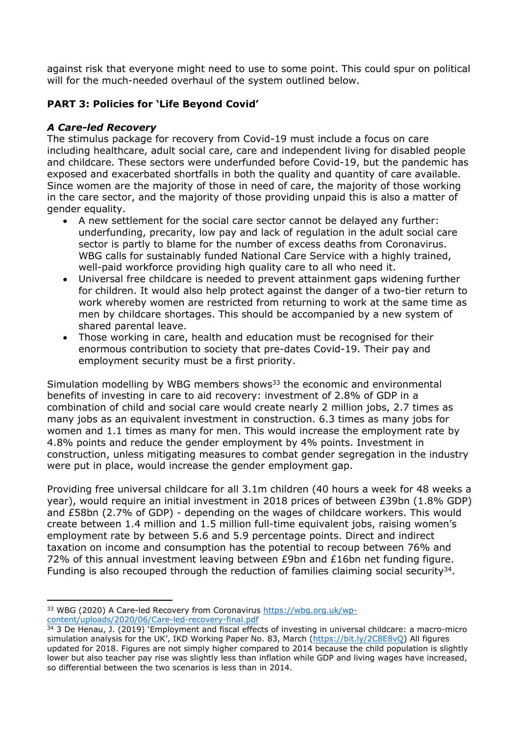against risk that everyone might need to use to some point. This could spur on political will for the much-needed overhaul of the system outlined below.

# **PART 3: Policies for 'Life Beyond Covid'**

## *A Care-led Recovery*

The stimulus package for recovery from Covid-19 must include a focus on care including healthcare, adult social care, care and independent living for disabled people and childcare. These sectors were underfunded before Covid-19, but the pandemic has exposed and exacerbated shortfalls in both the quality and quantity of care available. Since women are the majority of those in need of care, the majority of those working in the care sector, and the majority of those providing unpaid this is also a matter of gender equality.

- A new settlement for the social care sector cannot be delayed any further: underfunding, precarity, low pay and lack of regulation in the adult social care sector is partly to blame for the number of excess deaths from Coronavirus. WBG calls for sustainably funded National Care Service with a highly trained, well-paid workforce providing high quality care to all who need it.
- Universal free childcare is needed to prevent attainment gaps widening further for children. It would also help protect against the danger of a two-tier return to work whereby women are restricted from returning to work at the same time as men by childcare shortages. This should be accompanied by a new system of shared parental leave.
- Those working in care, health and education must be recognised for their enormous contribution to society that pre-dates Covid-19. Their pay and employment security must be a first priority.

Simulation modelling by WBG members shows<sup>33</sup> the economic and environmental benefits of investing in care to aid recovery: investment of 2.8% of GDP in a combination of child and social care would create nearly 2 million jobs, 2.7 times as many jobs as an equivalent investment in construction. 6.3 times as many jobs for women and 1.1 times as many for men. This would increase the employment rate by 4.8% points and reduce the gender employment by 4% points. Investment in construction, unless mitigating measures to combat gender segregation in the industry were put in place, would increase the gender employment gap.

Providing free universal childcare for all 3.1m children (40 hours a week for 48 weeks a year), would require an initial investment in 2018 prices of between £39bn (1.8% GDP) and £58bn (2.7% of GDP) - depending on the wages of childcare workers. This would create between 1.4 million and 1.5 million full-time equivalent jobs, raising women's employment rate by between 5.6 and 5.9 percentage points. Direct and indirect taxation on income and consumption has the potential to recoup between 76% and 72% of this annual investment leaving between £9bn and £16bn net funding figure. Funding is also recouped through the reduction of families claiming social security $34$ .

<sup>33</sup> WBG (2020) A Care-led Recovery from Coronavirus [https://wbg.org.uk/wp](https://wbg.org.uk/wp-content/uploads/2020/06/Care-led-recovery-final.pdf)[content/uploads/2020/06/Care-led-recovery-final.pdf](https://wbg.org.uk/wp-content/uploads/2020/06/Care-led-recovery-final.pdf)

 $34$  3 De Henau, J. (2019) 'Employment and fiscal effects of investing in universal childcare: a macro-micro simulation analysis for the UK', IKD Working Paper No. 83, March (<https://bit.ly/2C8E8vQ>) All figures updated for 2018. Figures are not simply higher compared to 2014 because the child population is slightly lower but also teacher pay rise was slightly less than inflation while GDP and living wages have increased, so differential between the two scenarios is less than in 2014.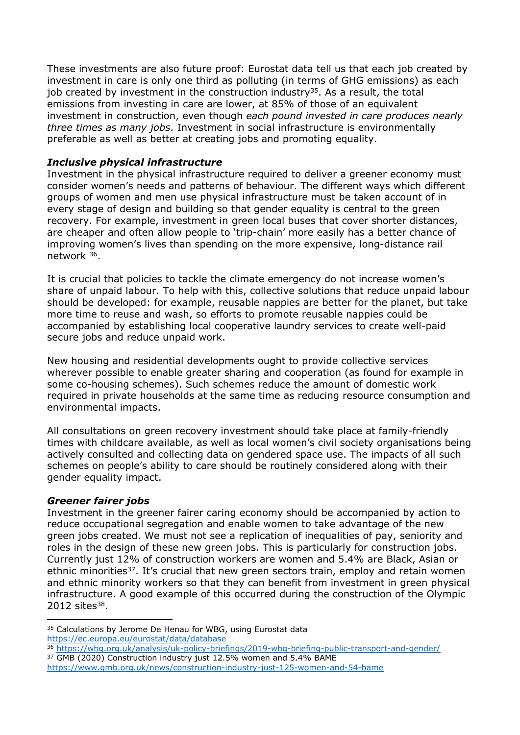These investments are also future proof: Eurostat data tell us that each job created by investment in care is only one third as polluting (in terms of GHG emissions) as each job created by investment in the construction industry<sup>35</sup>. As a result, the total emissions from investing in care are lower, at 85% of those of an equivalent investment in construction, even though *each pound invested in care produces nearly three times as many jobs*. Investment in social infrastructure is environmentally preferable as well as better at creating jobs and promoting equality.

## *Inclusive physical infrastructure*

Investment in the physical infrastructure required to deliver a greener economy must consider women's needs and patterns of behaviour. The different ways which different groups of women and men use physical infrastructure must be taken account of in every stage of design and building so that gender equality is central to the green recovery. For example, investment in green local buses that cover shorter distances, are cheaper and often allow people to 'trip-chain' more easily has a better chance of improving women's lives than spending on the more expensive, long-distance rail network <sup>36</sup>.

It is crucial that policies to tackle the climate emergency do not increase women's share of unpaid labour. To help with this, collective solutions that reduce unpaid labour should be developed: for example, reusable nappies are better for the planet, but take more time to reuse and wash, so efforts to promote reusable nappies could be accompanied by establishing local cooperative laundry services to create well-paid secure jobs and reduce unpaid work.

New housing and residential developments ought to provide collective services wherever possible to enable greater sharing and cooperation (as found for example in some co-housing schemes). Such schemes reduce the amount of domestic work required in private households at the same time as reducing resource consumption and environmental impacts.

All consultations on green recovery investment should take place at family-friendly times with childcare available, as well as local women's civil society organisations being actively consulted and collecting data on gendered space use. The impacts of all such schemes on people's ability to care should be routinely considered along with their gender equality impact.

#### *Greener fairer jobs*

Investment in the greener fairer caring economy should be accompanied by action to reduce occupational segregation and enable women to take advantage of the new green jobs created. We must not see a replication of inequalities of pay, seniority and roles in the design of these new green jobs. This is particularly for construction jobs. Currently just 12% of construction workers are women and 5.4% are Black, Asian or ethnic minorities<sup>37</sup>. It's crucial that new green sectors train, employ and retain women and ethnic minority workers so that they can benefit from investment in green physical infrastructure. A good example of this occurred during the construction of the Olympic 2012 sites<sup>38</sup>.

<sup>&</sup>lt;sup>35</sup> Calculations by Jerome De Henau for WBG, using Eurostat data <https://ec.europa.eu/eurostat/data/database>

<sup>36</sup> <https://wbg.org.uk/analysis/uk-policy-briefings/2019-wbg-briefing-public-transport-and-gender/>

<sup>37</sup> GMB (2020) Construction industry just 12.5% women and 5.4% BAME <https://www.gmb.org.uk/news/construction-industry-just-125-women-and-54-bame>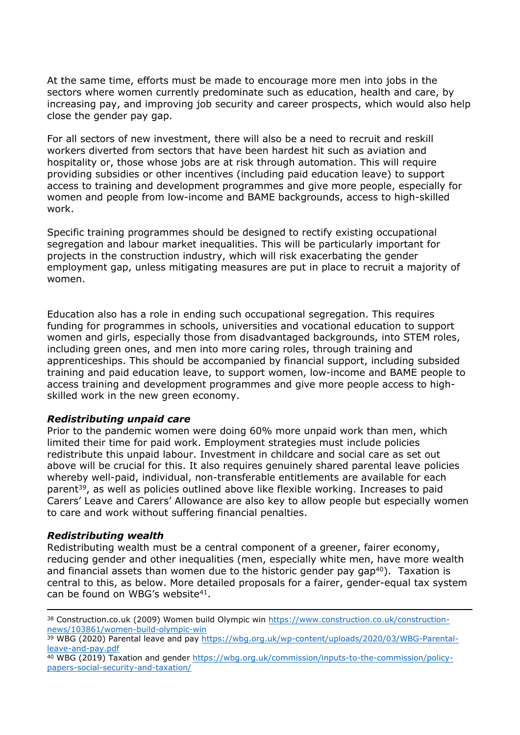At the same time, efforts must be made to encourage more men into jobs in the sectors where women currently predominate such as education, health and care, by increasing pay, and improving job security and career prospects, which would also help close the gender pay gap.

For all sectors of new investment, there will also be a need to recruit and reskill workers diverted from sectors that have been hardest hit such as aviation and hospitality or, those whose jobs are at risk through automation. This will require providing subsidies or other incentives (including paid education leave) to support access to training and development programmes and give more people, especially for women and people from low-income and BAME backgrounds, access to high-skilled work.

Specific training programmes should be designed to rectify existing occupational segregation and labour market inequalities. This will be particularly important for projects in the construction industry, which will risk exacerbating the gender employment gap, unless mitigating measures are put in place to recruit a majority of women.

Education also has a role in ending such occupational segregation. This requires funding for programmes in schools, universities and vocational education to support women and girls, especially those from disadvantaged backgrounds, into STEM roles, including green ones, and men into more caring roles, through training and apprenticeships. This should be accompanied by financial support, including subsided training and paid education leave, to support women, low-income and BAME people to access training and development programmes and give more people access to highskilled work in the new green economy.

#### *Redistributing unpaid care*

Prior to the pandemic women were doing 60% more unpaid work than men, which limited their time for paid work. Employment strategies must include policies redistribute this unpaid labour. Investment in childcare and social care as set out above will be crucial for this. It also requires genuinely shared parental leave policies whereby well-paid, individual, non-transferable entitlements are available for each parent<sup>39</sup>, as well as policies outlined above like flexible working. Increases to paid Carers' Leave and Carers' Allowance are also key to allow people but especially women to care and work without suffering financial penalties.

#### *Redistributing wealth*

Redistributing wealth must be a central component of a greener, fairer economy, reducing gender and other inequalities (men, especially white men, have more wealth and financial assets than women due to the historic gender pay gap<sup>40</sup>). Taxation is central to this, as below. More detailed proposals for a fairer, gender-equal tax system can be found on WBG's website<sup>41</sup>.

<sup>38</sup> Construction.co.uk (2009) Women build Olympic win [https://www.construction.co.uk/construction](https://www.construction.co.uk/construction-news/103861/women-build-olympic-win)[news/103861/women-build-olympic-win](https://www.construction.co.uk/construction-news/103861/women-build-olympic-win)

<sup>39</sup> WBG (2020) Parental leave and pay [https://wbg.org.uk/wp-content/uploads/2020/03/WBG-Parental](https://wbg.org.uk/wp-content/uploads/2020/03/WBG-Parental-leave-and-pay.pdf)[leave-and-pay.pdf](https://wbg.org.uk/wp-content/uploads/2020/03/WBG-Parental-leave-and-pay.pdf)

<sup>40</sup> WBG (2019) Taxation and gender [https://wbg.org.uk/commission/inputs-to-the-commission/policy](https://wbg.org.uk/commission/inputs-to-the-commission/policy-papers-social-security-and-taxation/)[papers-social-security-and-taxation/](https://wbg.org.uk/commission/inputs-to-the-commission/policy-papers-social-security-and-taxation/)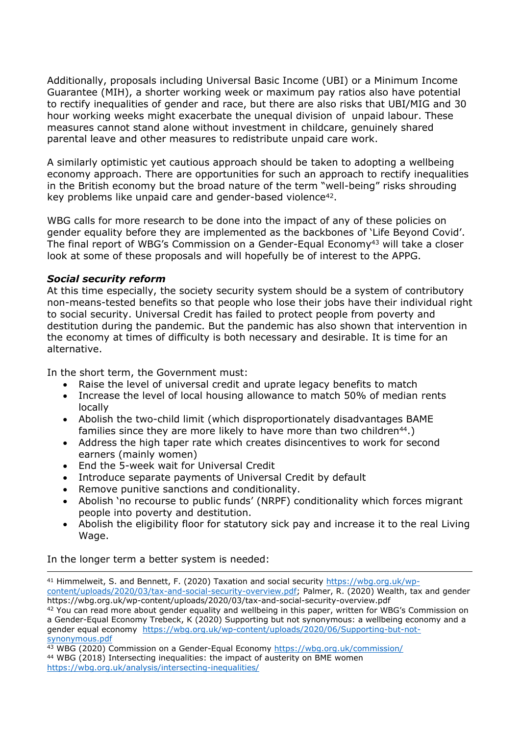Additionally, proposals including Universal Basic Income (UBI) or a Minimum Income Guarantee (MIH), a shorter working week or maximum pay ratios also have potential to rectify inequalities of gender and race, but there are also risks that UBI/MIG and 30 hour working weeks might exacerbate the unequal division of unpaid labour. These measures cannot stand alone without investment in childcare, genuinely shared parental leave and other measures to redistribute unpaid care work.

A similarly optimistic yet cautious approach should be taken to adopting a wellbeing economy approach. There are opportunities for such an approach to rectify inequalities in the British economy but the broad nature of the term "well-being" risks shrouding key problems like unpaid care and gender-based violence<sup>42</sup>.

WBG calls for more research to be done into the impact of any of these policies on gender equality before they are implemented as the backbones of 'Life Beyond Covid'. The final report of WBG's Commission on a Gender-Equal Economy<sup>43</sup> will take a closer look at some of these proposals and will hopefully be of interest to the APPG.

#### *Social security reform*

At this time especially, the society security system should be a system of contributory non-means-tested benefits so that people who lose their jobs have their individual right to social security. Universal Credit has failed to protect people from poverty and destitution during the pandemic. But the pandemic has also shown that intervention in the economy at times of difficulty is both necessary and desirable. It is time for an alternative.

In the short term, the Government must:

- Raise the level of universal credit and uprate legacy benefits to match
- Increase the level of local housing allowance to match 50% of median rents locally
- Abolish the two-child limit (which disproportionately disadvantages BAME families since they are more likely to have more than two children<sup>44</sup>.)
- Address the high taper rate which creates disincentives to work for second earners (mainly women)
- End the 5-week wait for Universal Credit
- Introduce separate payments of Universal Credit by default
- Remove punitive sanctions and conditionality.
- Abolish 'no recourse to public funds' (NRPF) conditionality which forces migrant people into poverty and destitution.
- Abolish the eligibility floor for statutory sick pay and increase it to the real Living Wage.

In the longer term a better system is needed:

<sup>41</sup> Himmelweit, S. and Bennett, F. (2020) Taxation and social security [https://wbg.org.uk/wp](https://wbg.org.uk/wp-content/uploads/2020/03/tax-and-social-security-overview.pdf)[content/uploads/2020/03/tax-and-social-security-overview.pdf;](https://wbg.org.uk/wp-content/uploads/2020/03/tax-and-social-security-overview.pdf) Palmer, R. (2020) Wealth, tax and gender https://wbg.org.uk/wp-content/uploads/2020/03/tax-and-social-security-overview.pdf

<sup>42</sup> You can read more about gender equality and wellbeing in this paper, written for WBG's Commission on a Gender-Equal Economy Trebeck, K (2020) Supporting but not synonymous: a wellbeing economy and a gender equal economy [https://wbg.org.uk/wp-content/uploads/2020/06/Supporting-but-not](https://wbg.org.uk/wp-content/uploads/2020/06/Supporting-but-not-synonymous.pdf)[synonymous.pdf](https://wbg.org.uk/wp-content/uploads/2020/06/Supporting-but-not-synonymous.pdf)

<sup>43</sup> WBG (2020) Commission on a Gender-Equal Economy <https://wbg.org.uk/commission/> <sup>44</sup> WBG (2018) Intersecting inequalities: the impact of austerity on BME women <https://wbg.org.uk/analysis/intersecting-inequalities/>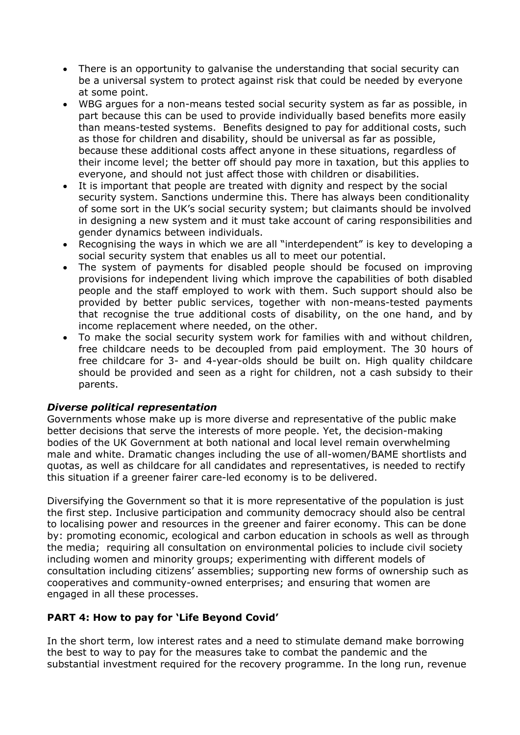- There is an opportunity to galvanise the understanding that social security can be a universal system to protect against risk that could be needed by everyone at some point.
- WBG argues for a non-means tested social security system as far as possible, in part because this can be used to provide individually based benefits more easily than means-tested systems. Benefits designed to pay for additional costs, such as those for children and disability, should be universal as far as possible, because these additional costs affect anyone in these situations, regardless of their income level; the better off should pay more in taxation, but this applies to everyone, and should not just affect those with children or disabilities.
- It is important that people are treated with dignity and respect by the social security system. Sanctions undermine this. There has always been conditionality of some sort in the UK's social security system; but claimants should be involved in designing a new system and it must take account of caring responsibilities and gender dynamics between individuals.
- Recognising the ways in which we are all "interdependent" is key to developing a social security system that enables us all to meet our potential.
- The system of payments for disabled people should be focused on improving provisions for independent living which improve the capabilities of both disabled people and the staff employed to work with them. Such support should also be provided by better public services, together with non-means-tested payments that recognise the true additional costs of disability, on the one hand, and by income replacement where needed, on the other.
- To make the social security system work for families with and without children, free childcare needs to be decoupled from paid employment. The 30 hours of free childcare for 3- and 4-year-olds should be built on. High quality childcare should be provided and seen as a right for children, not a cash subsidy to their parents.

#### *Diverse political representation*

Governments whose make up is more diverse and representative of the public make better decisions that serve the interests of more people. Yet, the decision-making bodies of the UK Government at both national and local level remain overwhelming male and white. Dramatic changes including the use of all-women/BAME shortlists and quotas, as well as childcare for all candidates and representatives, is needed to rectify this situation if a greener fairer care-led economy is to be delivered.

Diversifying the Government so that it is more representative of the population is just the first step. Inclusive participation and community democracy should also be central to localising power and resources in the greener and fairer economy. This can be done by: promoting economic, ecological and carbon education in schools as well as through the media; requiring all consultation on environmental policies to include civil society including women and minority groups; experimenting with different models of consultation including citizens' assemblies; supporting new forms of ownership such as cooperatives and community-owned enterprises; and ensuring that women are engaged in all these processes.

# **PART 4: How to pay for 'Life Beyond Covid'**

In the short term, low interest rates and a need to stimulate demand make borrowing the best to way to pay for the measures take to combat the pandemic and the substantial investment required for the recovery programme. In the long run, revenue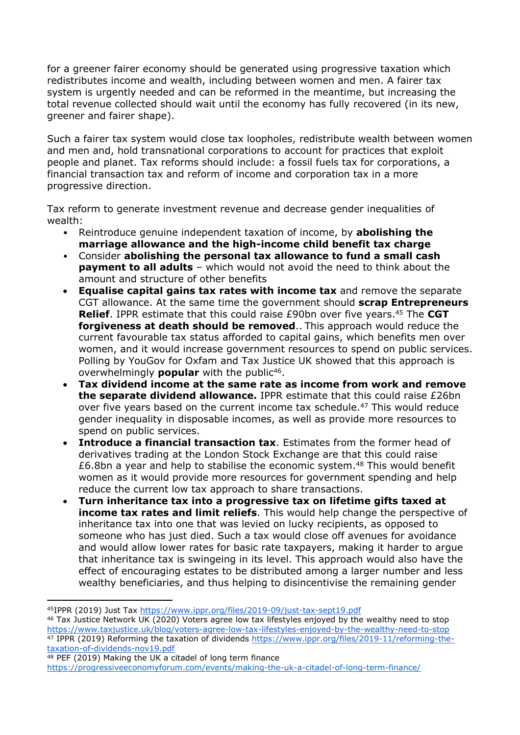for a greener fairer economy should be generated using progressive taxation which redistributes income and wealth, including between women and men. A fairer tax system is urgently needed and can be reformed in the meantime, but increasing the total revenue collected should wait until the economy has fully recovered (in its new, greener and fairer shape).

Such a fairer tax system would close tax loopholes, redistribute wealth between women and men and, hold transnational corporations to account for practices that exploit people and planet. Tax reforms should include: a fossil fuels tax for corporations, a financial transaction tax and reform of income and corporation tax in a more progressive direction.

Tax reform to generate investment revenue and decrease gender inequalities of wealth:

- Reintroduce genuine independent taxation of income, by **abolishing the marriage allowance and the high-income child benefit tax charge**
- Consider **abolishing the personal tax allowance to fund a small cash payment to all adults** – which would not avoid the need to think about the amount and structure of other benefits
- **Equalise capital gains tax rates with income tax** and remove the separate CGT allowance. At the same time the government should **scrap Entrepreneurs Relief**. IPPR estimate that this could raise £90bn over five years.<sup>45</sup> The CGT **forgiveness at death should be removed**.. This approach would reduce the current favourable tax status afforded to capital gains, which benefits men over women, and it would increase government resources to spend on public services. Polling by YouGov for Oxfam and Tax Justice UK showed that this approach is overwhelmingly **popular** with the public<sup>46</sup>.
- **Tax dividend income at the same rate as income from work and remove the separate dividend allowance.** IPPR estimate that this could raise £26bn over five years based on the current income tax schedule.<sup>47</sup> This would reduce gender inequality in disposable incomes, as well as provide more resources to spend on public services.
- **Introduce a financial transaction tax**. Estimates from the former head of derivatives trading at the London Stock Exchange are that this could raise £6.8bn a year and help to stabilise the economic system. $48$  This would benefit women as it would provide more resources for government spending and help reduce the current low tax approach to share transactions.
- **Turn inheritance tax into a progressive tax on lifetime gifts taxed at income tax rates and limit reliefs**. This would help change the perspective of inheritance tax into one that was levied on lucky recipients, as opposed to someone who has just died. Such a tax would close off avenues for avoidance and would allow lower rates for basic rate taxpayers, making it harder to argue that inheritance tax is swingeing in its level. This approach would also have the effect of encouraging estates to be distributed among a larger number and less wealthy beneficiaries, and thus helping to disincentivise the remaining gender

<sup>45</sup>IPPR (2019) Just Tax <https://www.ippr.org/files/2019-09/just-tax-sept19.pdf>

<sup>46</sup> Tax Justice Network UK (2020) Voters agree low tax lifestyles enjoyed by the wealthy need to stop <https://www.taxjustice.uk/blog/voters-agree-low-tax-lifestyles-enjoyed-by-the-wealthy-need-to-stop> <sup>47</sup> IPPR (2019) Reforming the taxation of dividends [https://www.ippr.org/files/2019-11/reforming-the](https://www.ippr.org/files/2019-11/reforming-the-taxation-of-dividends-nov19.pdf)[taxation-of-dividends-nov19.pdf](https://www.ippr.org/files/2019-11/reforming-the-taxation-of-dividends-nov19.pdf)

<sup>48</sup> PEF (2019) Making the UK a citadel of long term finance <https://progressiveeconomyforum.com/events/making-the-uk-a-citadel-of-long-term-finance/>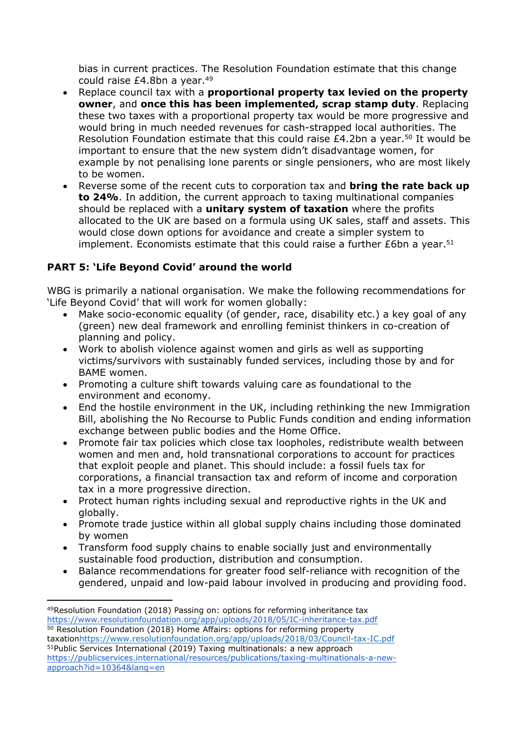bias in current practices. The Resolution Foundation estimate that this change could raise £4.8bn a year.<sup>49</sup>

- Replace council tax with a **proportional property tax levied on the property owner**, and **once this has been implemented, scrap stamp duty**. Replacing these two taxes with a proportional property tax would be more progressive and would bring in much needed revenues for cash-strapped local authorities. The Resolution Foundation estimate that this could raise  $£4.2$ bn a year.<sup>50</sup> It would be important to ensure that the new system didn't disadvantage women, for example by not penalising lone parents or single pensioners, who are most likely to be women.
- Reverse some of the recent cuts to corporation tax and **bring the rate back up to 24%**. In addition, the current approach to taxing multinational companies should be replaced with a **unitary system of taxation** where the profits allocated to the UK are based on a formula using UK sales, staff and assets. This would close down options for avoidance and create a simpler system to implement. Economists estimate that this could raise a further  $£6$ bn a year.<sup>51</sup>

# **PART 5: 'Life Beyond Covid' around the world**

WBG is primarily a national organisation. We make the following recommendations for 'Life Beyond Covid' that will work for women globally:

- Make socio-economic equality (of gender, race, disability etc.) a key goal of any (green) new deal framework and enrolling feminist thinkers in co-creation of planning and policy.
- Work to abolish violence against women and girls as well as supporting victims/survivors with sustainably funded services, including those by and for BAME women.
- Promoting a culture shift towards valuing care as foundational to the environment and economy.
- End the hostile environment in the UK, including rethinking the new Immigration Bill, abolishing the No Recourse to Public Funds condition and ending information exchange between public bodies and the Home Office.
- Promote fair tax policies which close tax loopholes, redistribute wealth between women and men and, hold transnational corporations to account for practices that exploit people and planet. This should include: a fossil fuels tax for corporations, a financial transaction tax and reform of income and corporation tax in a more progressive direction.
- Protect human rights including sexual and reproductive rights in the UK and globally.
- Promote trade justice within all global supply chains including those dominated by women
- Transform food supply chains to enable socially just and environmentally sustainable food production, distribution and consumption.
- Balance recommendations for greater food self-reliance with recognition of the gendered, unpaid and low-paid labour involved in producing and providing food.

taxation<https://www.resolutionfoundation.org/app/uploads/2018/03/Council-tax-IC.pdf> <sup>51</sup>Public Services International (2019) Taxing multinationals: a new approach [https://publicservices.international/resources/publications/taxing-multinationals-a-new](https://publicservices.international/resources/publications/taxing-multinationals-a-new-approach?id=10364&lang=en)[approach?id=10364&lang=en](https://publicservices.international/resources/publications/taxing-multinationals-a-new-approach?id=10364&lang=en)

<sup>49</sup>Resolution Foundation (2018) Passing on: options for reforming inheritance tax <https://www.resolutionfoundation.org/app/uploads/2018/05/IC-inheritance-tax.pdf> <sup>50</sup> Resolution Foundation (2018) Home Affairs: options for reforming property